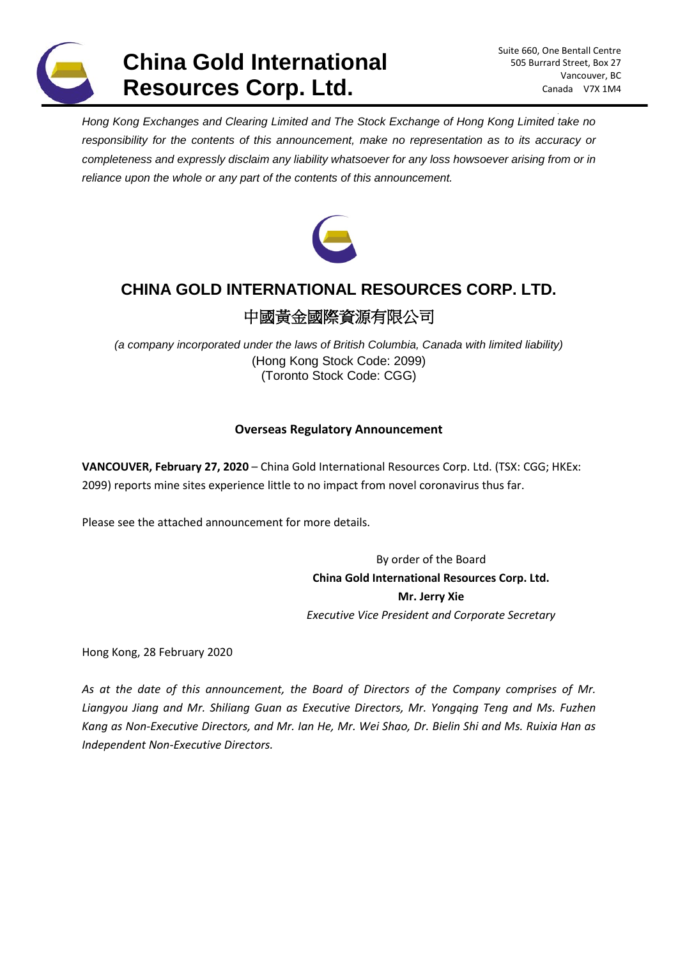

*Hong Kong Exchanges and Clearing Limited and The Stock Exchange of Hong Kong Limited take no responsibility for the contents of this announcement, make no representation as to its accuracy or completeness and expressly disclaim any liability whatsoever for any loss howsoever arising from or in reliance upon the whole or any part of the contents of this announcement.*



# **CHINA GOLD INTERNATIONAL RESOURCES CORP. LTD.**

## 中國黃金國際資源有限公司

*(a company incorporated under the laws of British Columbia, Canada with limited liability)* (Hong Kong Stock Code: 2099) (Toronto Stock Code: CGG)

## **Overseas Regulatory Announcement**

**VANCOUVER, February 27, 2020** – China Gold International Resources Corp. Ltd. (TSX: CGG; HKEx: 2099) reports mine sites experience little to no impact from novel coronavirus thus far.

Please see the attached announcement for more details.

By order of the Board **China Gold International Resources Corp. Ltd. Mr. Jerry Xie** *Executive Vice President and Corporate Secretary*

Hong Kong, 28 February 2020

*As at the date of this announcement, the Board of Directors of the Company comprises of Mr. Liangyou Jiang and Mr. Shiliang Guan as Executive Directors, Mr. Yongqing Teng and Ms. Fuzhen Kang as Non‐Executive Directors, and Mr. Ian He, Mr. Wei Shao, Dr. Bielin Shi and Ms. Ruixia Han as Independent Non‐Executive Directors.*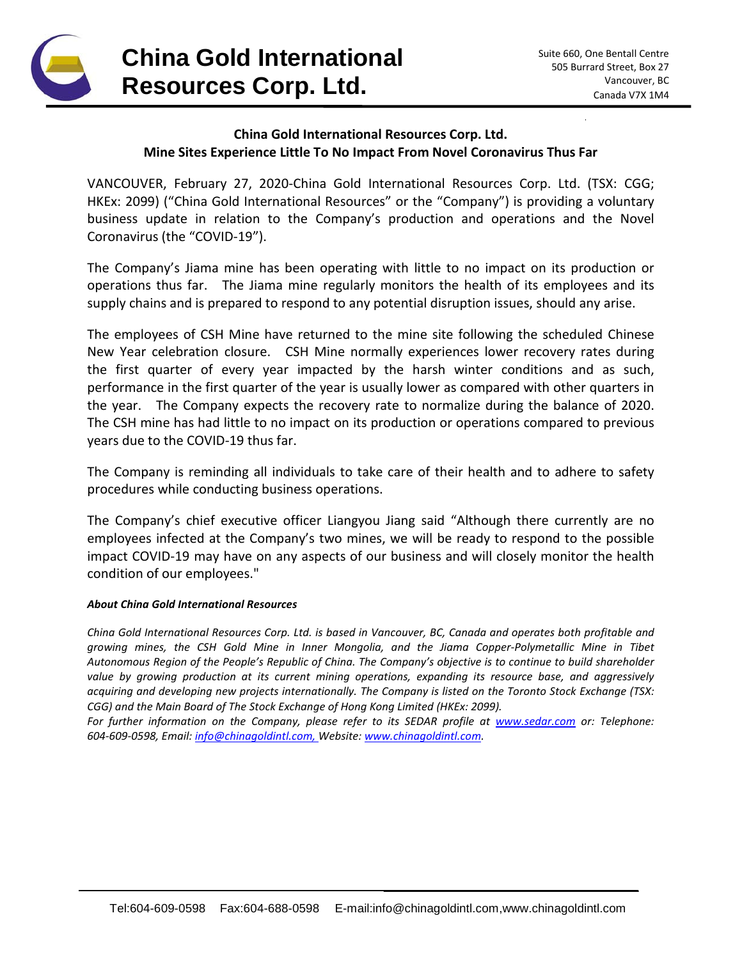

**China Gold International Resources Corp. Ltd.**

### **China Gold International Resources Corp. Ltd. Mine Sites Experience Little To No Impact From Novel Coronavirus Thus Far**

VANCOUVER, February 27, 2020-China Gold International Resources Corp. Ltd. (TSX: CGG; HKEx: 2099) ("China Gold International Resources" or the "Company") is providing a voluntary business update in relation to the Company's production and operations and the Novel Coronavirus (the "COVID-19").

The Company's Jiama mine has been operating with little to no impact on its production or operations thus far. The Jiama mine regularly monitors the health of its employees and its supply chains and is prepared to respond to any potential disruption issues, should any arise.

The employees of CSH Mine have returned to the mine site following the scheduled Chinese New Year celebration closure. CSH Mine normally experiences lower recovery rates during the first quarter of every year impacted by the harsh winter conditions and as such, performance in the first quarter of the year is usually lower as compared with other quarters in the year. The Company expects the recovery rate to normalize during the balance of 2020. The CSH mine has had little to no impact on its production or operations compared to previous years due to the COVID-19 thus far.

The Company is reminding all individuals to take care of their health and to adhere to safety procedures while conducting business operations.

The Company's chief executive officer Liangyou Jiang said "Although there currently are no employees infected at the Company's two mines, we will be ready to respond to the possible impact COVID-19 may have on any aspects of our business and will closely monitor the health condition of our employees."

#### *About China Gold International Resources*

*China Gold International Resources Corp. Ltd. is based in Vancouver, BC, Canada and operates both profitable and growing mines, the CSH Gold Mine in Inner Mongolia, and the Jiama Copper-Polymetallic Mine in Tibet Autonomous Region of the People's Republic of China. The Company's objective is to continue to build shareholder value by growing production at its current mining operations, expanding its resource base, and aggressively acquiring and developing new projects internationally. The Company is listed on the Toronto Stock Exchange (TSX: CGG) and the Main Board of The Stock Exchange of Hong Kong Limited (HKEx: 2099).*

*For further information on the Company, please refer to its SEDAR profile at [www.sedar.com](http://www.sedar.com/) or: Telephone: 604-609-0598, Email: [info@chinagoldintl.com,](mailto:info@chinagoldintl.com) Website: [www.chinagoldintl.com.](http://www.chinagoldintl.com/)*